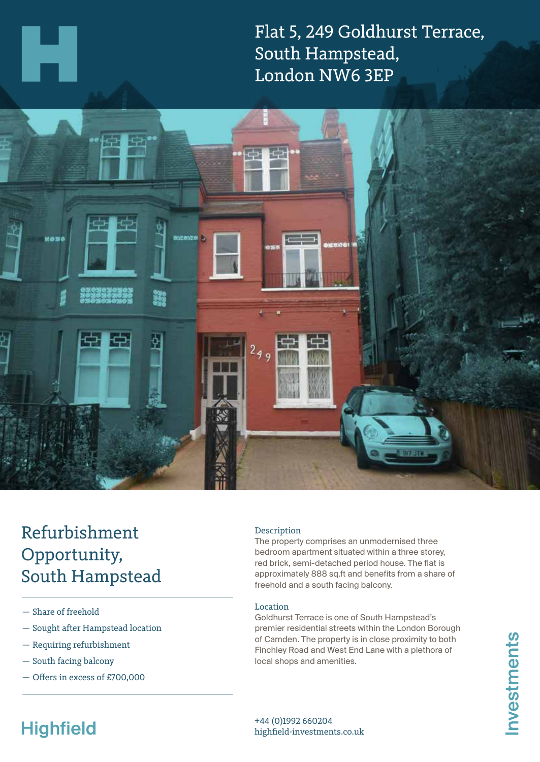Flat 5, 249 Goldhurst Terrace, South Hampstead, London NW6 3EP



## Refurbishment Opportunity, South Hampstead

- Share of freehold
- Sought after Hampstead location
- Requiring refurbishment
- South facing balcony
- Offers in excess of £700,000

### Description

The property comprises an unmodernised three bedroom apartment situated within a three storey, red brick, semi-detached period house. The flat is approximately 888 sq.ft and benefits from a share of freehold and a south facing balcony.

#### Location

Goldhurst Terrace is one of South Hampstead's premier residential streets within the London Borough of Camden. The property is in close proximity to both Finchley Road and West End Lane with a plethora of local shops and amenities.

# **Highfield**

+44 (0)1992 660204 highfield-investments.co.uk